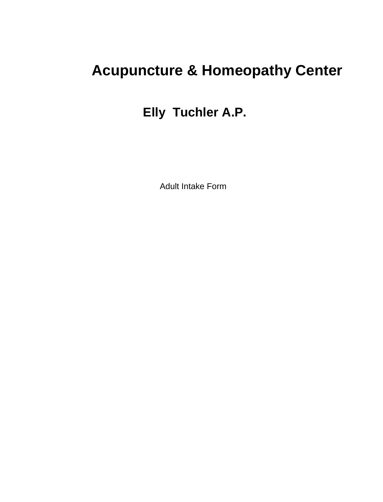# **Acupuncture & Homeopathy Center**

**Elly Tuchler A.P.** 

**Adult Hidas Form Adult Intake Form**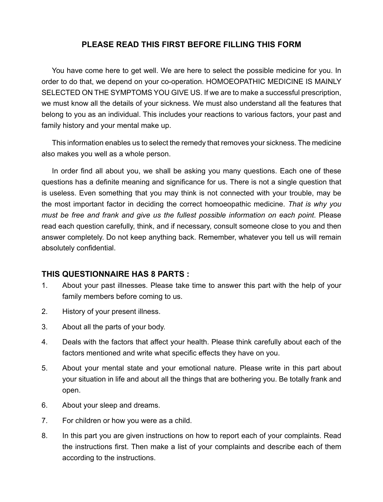#### **PLEASE READ THIS FIRST BEFORE FILLING THIS FORM**

You have come here to get well. We are here to select the possible medicine for you. In order to do that, we depend on your co-operation. HOMOEOPATHIC MEDICINE IS MAINLY SELECTED ON THE SYMPTOMS YOU GIVE US. If we are to make a successful prescription, we must know all the details of your sickness. We must also understand all the features that belong to you as an individual. This includes your reactions to various factors, your past and family history and your mental make up.

This information enables us to select the remedy that removes your sickness. The medicine also makes you well as a whole person.

 In order find all about you, we shall be asking you many questions. Each one of these questions has a definite meaning and significance for us. There is not a single question that is useless. Even something that you may think is not connected with your trouble, may be the most important factor in deciding the correct homoeopathic medicine. *That is why you must be free and frank and give us the fullest possible information on each point*. Please read each question carefully, think, and if necessary, consult someone close to you and then answer completely. Do not keep anything back. Remember, whatever you tell us will remain absolutely confidential.

#### **THIS QUESTIONNAIRE HAS 8 PARTS :**

- 1. About your past illnesses. Please take time to answer this part with the help of your family members before coming to us.
- 2. History of your present illness.
- 3. About all the parts of your body.
- 4. Deals with the factors that affect your health. Please think carefully about each of the factors mentioned and write what specific effects they have on you.
- 5. About your mental state and your emotional nature. Please write in this part about your situation in life and about all the things that are bothering you. Be totally frank and open.
- 6. About your sleep and dreams.
- 7. For children or how you were as a child.
- 8. In this part you are given instructions on how to report each of your complaints. Read the instructions first. Then make a list of your complaints and describe each of them according to the instructions.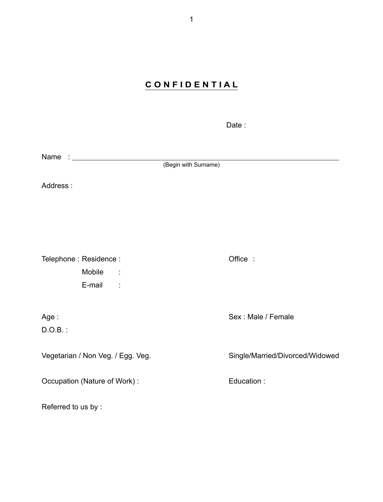# **C O N F I D E N T I A L**

|                    |                                   |                      | Date:                           |
|--------------------|-----------------------------------|----------------------|---------------------------------|
|                    |                                   |                      |                                 |
|                    |                                   |                      |                                 |
|                    | Name : $\frac{1}{2}$              | (Begin with Surname) |                                 |
|                    |                                   |                      |                                 |
| Address:           |                                   |                      |                                 |
|                    |                                   |                      |                                 |
|                    |                                   |                      |                                 |
|                    |                                   |                      |                                 |
|                    |                                   |                      |                                 |
|                    |                                   |                      |                                 |
|                    | Telephone: Residence:             |                      | Office:                         |
|                    | Mobile<br>$\sim$                  |                      |                                 |
|                    | E-mail<br>÷                       |                      |                                 |
|                    |                                   |                      |                                 |
|                    |                                   |                      |                                 |
| Age:               |                                   |                      | Sex: Male / Female              |
| $D.O.B.$ :         |                                   |                      |                                 |
|                    |                                   |                      |                                 |
|                    | Vegetarian / Non Veg. / Egg. Veg. |                      | Single/Married/Divorced/Widowed |
|                    |                                   |                      |                                 |
|                    | Occupation (Nature of Work):      |                      | Education:                      |
|                    |                                   |                      |                                 |
| Referred to us by: |                                   |                      |                                 |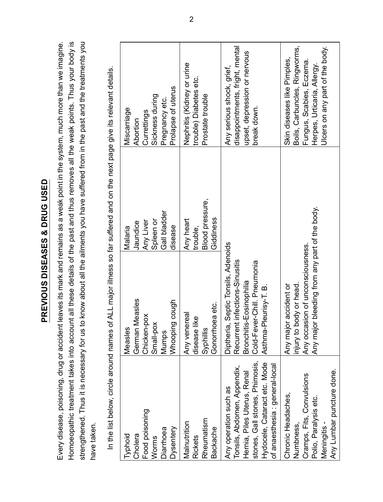# PREVIOUS DISEASES & DRUG USED **PREVIOUS DISEASES & DRUG USED**

Homoeopathic treatment takes into account all these details of the past and thus removes all the weak points. Thus your body is Homoeopathic treatment takes into account all these details of the past and thus removes all the weak points. Thus your body is strengthened. Thus it is necessary for us to know about all the ailments you have suffered from in the past and the treatments you Every disease, poisoning, drug or accident leaves its mark and remains as a weak point in the system, much more than we imagine. strengthened. Thus it is necessary for us to know about all the ailments you have suffered from in the past and the treatments you Every disease, poisoning, drug or accident leaves its mark and remains as a weak point in the system, much more than we imagine. have taken. have taken.

|      | In the list below, circle around names of ALL major illness so far suffered and on the next page give its relevant details |     |  |
|------|----------------------------------------------------------------------------------------------------------------------------|-----|--|
| noic |                                                                                                                            | くこく |  |
|      | Prince Measure                                                                                                             |     |  |

| Typhoid                                     | Measles                                       | Malaria         | Miscarriage                     |
|---------------------------------------------|-----------------------------------------------|-----------------|---------------------------------|
| Cholera                                     | German Measles                                | Jaundice        | Abortion                        |
| Food poisoning                              | Chicken-pox                                   | Any Liver       | Currettings                     |
| Worms                                       | Small-pox                                     | Spleen or       | Sickness during                 |
| Diarrhoea                                   | Mumps                                         | Gall bladder    | Pregnancy etc.                  |
| Dysentery                                   | Whooping cough                                | disease         | Prolapse of uterus              |
| Malnutrition                                | Any venereal                                  | Any heart       | Nephritis (Kidney or urine      |
| <b>Rickets</b>                              | disease like                                  | trouble,        | trouble) Diabetes etc.          |
| Rheumatism                                  | Syphillis                                     | Blood pressure, | Prostate trouble                |
| Backache                                    | Gonorrhoea etc.                               | Giddiness       |                                 |
| Any operation such as                       | Diptheria, Septic Tonsils, Adenoids           |                 | Any serious shock, grief,       |
| Tonsils, Abdomen, Appendix,                 | Recurrent infections-Sinusitis                |                 | disappointments, fright, mental |
| Hernia, Piles Uterus, Renal                 | Bronchitis-Eosinophilia                       |                 | upset, depression or nervous    |
| $\frac{1}{2}$<br>stones, Gall stones, Phimo | Cold-Fever-Chill. Pneumonia                   |                 | break down.                     |
| Hydocele, Cataract etc. Mode                | Asthma-Pleurisy-T. B.                         |                 |                                 |
| of anaesthesia : general-local              |                                               |                 |                                 |
| Chronic Headaches,                          | Any major accident or                         |                 | Skin diseases like Pimples,     |
| Numbness,                                   | injury to body or head.                       |                 | Boils, Carbuncles, Ringworms,   |
| Cramps, Fits, Convulsions                   | Any occasion of unconsciousness.              |                 | Fungus, Scabies, Eczema         |
| Polio, Paralysis etc.                       | Any major bleeding from any part of the body. |                 | Herpes, Urticaria, Allergy.     |
| Meningitis-                                 |                                               |                 | Jicers on any part of the body. |
| Any Lumbar puncture done.                   |                                               |                 |                                 |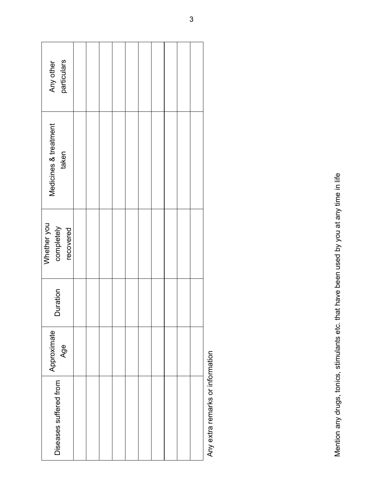| particulars<br>Any other               |  |  |  |  |  |
|----------------------------------------|--|--|--|--|--|
| Medicines & treatment<br>taken         |  |  |  |  |  |
| Whether you<br>completely<br>recovered |  |  |  |  |  |
| Duration                               |  |  |  |  |  |
| Approximate<br>Age                     |  |  |  |  |  |
| Diseases suffered from                 |  |  |  |  |  |

Any extra remarks or information Any extra remarks or information

Mention any drugs, tonics, stimulants etc. that have been used by you at any time in life Mention any drugs, tonics, stimulants etc. that have been used by you at any time in life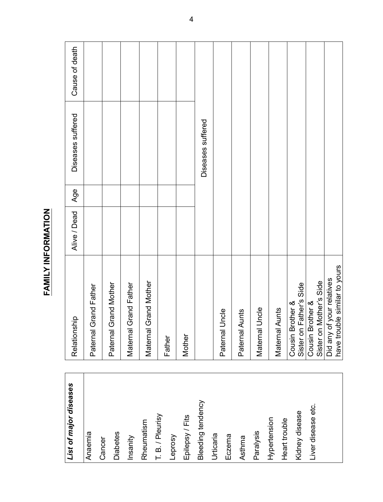| List of major diseases        | Relationship                                               | Alive / Dead | Age | Diseases suffered | Cause of death |
|-------------------------------|------------------------------------------------------------|--------------|-----|-------------------|----------------|
| Anaemia                       | Paternal Grand Father                                      |              |     |                   |                |
| <b>Diabetes</b><br>Cancer     | Paternal Grand Mother                                      |              |     |                   |                |
| Insanity                      | Maternal Grand Father                                      |              |     |                   |                |
| Rheumatism                    | Maternal Grand Mother                                      |              |     |                   |                |
| T. B. / Pleurisy<br>Leprosy   | Father                                                     |              |     |                   |                |
| Epilepsy / Fits               | Mother                                                     |              |     |                   |                |
| Bleeding tendency             |                                                            |              |     | Diseases suffered |                |
| Urticaria<br>Eczema           | Paternal Uncle                                             |              |     |                   |                |
| Asthma                        | Paternal Aunts                                             |              |     |                   |                |
| Paralysis                     | Maternal Uncle                                             |              |     |                   |                |
| Hypertension<br>Heart trouble | Maternal Aunts                                             |              |     |                   |                |
| Kidney disease                | Sister on Father's Side<br>Cousin Brother &                |              |     |                   |                |
| Liver disease etc.            | Sister on Mother's Side<br>Cousin Brother &                |              |     |                   |                |
|                               | have trouble similar to yours<br>Did any of your relatives |              |     |                   |                |

4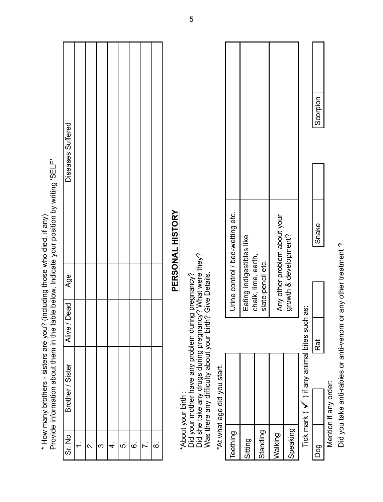| Provide information about them in the table below, Indicate your position by writing 'SELF' | Diseases Suffered |                         |   |    |     |   |              |    | PERSONAL HISTORY                                                                                                                                                                                                            |                       |                                                         |
|---------------------------------------------------------------------------------------------|-------------------|-------------------------|---|----|-----|---|--------------|----|-----------------------------------------------------------------------------------------------------------------------------------------------------------------------------------------------------------------------------|-----------------------|---------------------------------------------------------|
|                                                                                             | Age               |                         |   |    |     |   |              |    | Urine control / bed-wetting etc.<br>Any other problem about your<br>Eating indigestibles like<br>chalk, lime, earth,<br>slate-pencil etc.                                                                                   | growth & development? |                                                         |
|                                                                                             | Alive / Dead      |                         |   |    |     |   |              |    |                                                                                                                                                                                                                             |                       |                                                         |
| * How many brothers - sisters are you? (including those who died, if any)                   | Brother / Sister  |                         |   |    |     |   |              |    | Did your mother have any problem during pregnancy?<br>Did she take any drugs during pregnancy? What were they?<br>Was there any difficulty about your birth? Give Details.<br>At what age did you star<br>*About your birth |                       | Tick mark ( $\checkmark$ ) if any animal bites such as: |
|                                                                                             | Sr. No            | $\overline{\mathsf{N}}$ | က | 4. | ເດ່ | Ġ | <sup>-</sup> | ထံ | Standing<br>Teething<br>Walking<br>Sitting                                                                                                                                                                                  | Speaking              |                                                         |

Mention if any order: Mention if any order:

LongLoos Sinal Same Score Score Score Score Score Score Score Score Score Score Score Score Score Score Score Score Score Score Score Score Score Score Score Score Score Score Score Score Score Score Score Score Score Scor

 $Rat$ 

 $\overline{D}$ 

Snake

Scorpion

Did you take anti-rabies or anti-venom or any other treatment? Did you take anti-rabies or anti-venom or any other treatment ?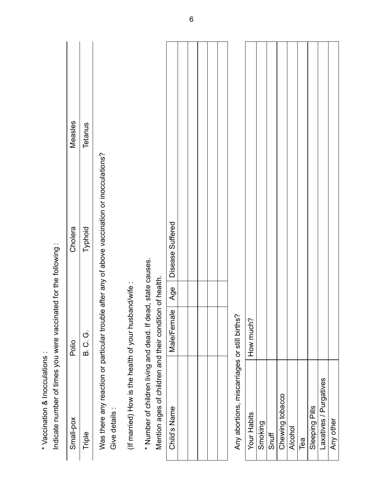| * Vaccination & Inocculations :                        |                                                                       |     |                                                                                               |         |
|--------------------------------------------------------|-----------------------------------------------------------------------|-----|-----------------------------------------------------------------------------------------------|---------|
| Indicate number of times                               | you were vaccinated for the following:                                |     |                                                                                               |         |
| Small-pox                                              | Polio                                                                 |     | Cholera                                                                                       | Measles |
| Triple                                                 | B.C.<br>B.                                                            |     | Typhoid                                                                                       | Tetanus |
| Give details                                           |                                                                       |     | Was there any reaction or particular trouble after any of above vaccination or inocculations? |         |
| (If married) How is the health of your husband/wife :  |                                                                       |     |                                                                                               |         |
| * Number of children livin<br>Mention ages of children | ig and dead. If dead, state causes.<br>and their condition of health. |     |                                                                                               |         |
| Child's Name                                           | Male/Female                                                           | Age | Disease Suffered                                                                              |         |
|                                                        |                                                                       |     |                                                                                               |         |
|                                                        |                                                                       |     |                                                                                               |         |
|                                                        |                                                                       |     |                                                                                               |         |
|                                                        |                                                                       |     |                                                                                               |         |
|                                                        |                                                                       |     |                                                                                               |         |
| Any abortions, miscarriages or still births?           |                                                                       |     |                                                                                               |         |
| Your Habits                                            | How much?                                                             |     |                                                                                               |         |
| Smoking                                                |                                                                       |     |                                                                                               |         |
| Snuff                                                  |                                                                       |     |                                                                                               |         |
| Chewing tobacco                                        |                                                                       |     |                                                                                               |         |
| Alcohol                                                |                                                                       |     |                                                                                               |         |
| Tea                                                    |                                                                       |     |                                                                                               |         |
| Sleeping Pills                                         |                                                                       |     |                                                                                               |         |
| Laxatives / Purgatives                                 |                                                                       |     |                                                                                               |         |
| Any other                                              |                                                                       |     |                                                                                               |         |
|                                                        |                                                                       |     |                                                                                               |         |

6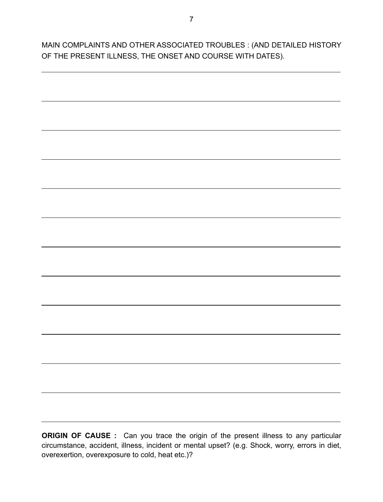main complaints and other associated troubles : (and detailed history of the present illness, the onset and course with dates).



**ORIGIN OF CAUSE** : Can you trace the origin of the present illness to any particular circumstance, accident, illness, incident or mental upset? (e.g. Shock, worry, errors in diet, overexertion, overexposure to cold, heat etc.)?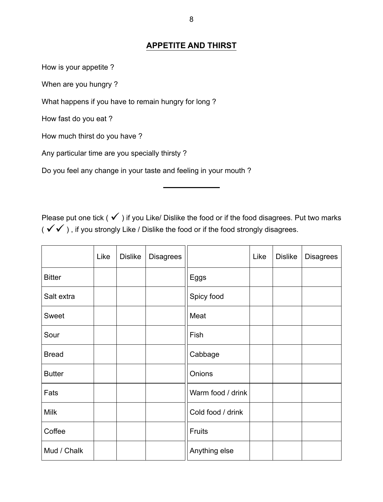#### **APPETITE AND THIRST**

How is your appetite ?

When are you hungry ?

What happens if you have to remain hungry for long ?

How fast do you eat ?

How much thirst do you have ?

Any particular time are you specially thirsty ?

Do you feel any change in your taste and feeling in your mouth ?

Please put one tick ( $\checkmark$ ) if you Like/ Dislike the food or if the food disagrees. Put two marks ( $\checkmark$  ), if you strongly Like / Dislike the food or if the food strongly disagrees.

|               | Like | <b>Dislike</b> | <b>Disagrees</b> |                   | Like | <b>Dislike</b> | Disagrees |
|---------------|------|----------------|------------------|-------------------|------|----------------|-----------|
| <b>Bitter</b> |      |                |                  | Eggs              |      |                |           |
| Salt extra    |      |                |                  | Spicy food        |      |                |           |
| Sweet         |      |                |                  | Meat              |      |                |           |
| Sour          |      |                |                  | Fish              |      |                |           |
| <b>Bread</b>  |      |                |                  | Cabbage           |      |                |           |
| <b>Butter</b> |      |                |                  | Onions            |      |                |           |
| Fats          |      |                |                  | Warm food / drink |      |                |           |
| <b>Milk</b>   |      |                |                  | Cold food / drink |      |                |           |
| Coffee        |      |                |                  | Fruits            |      |                |           |
| Mud / Chalk   |      |                |                  | Anything else     |      |                |           |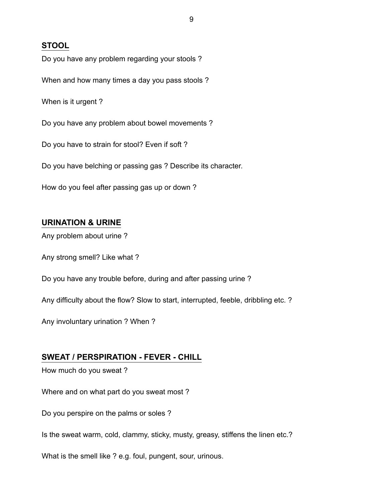#### **STOOL**

Do you have any problem regarding your stools ?

When and how many times a day you pass stools ?

When is it urgent ?

Do you have any problem about bowel movements ?

Do you have to strain for stool? Even if soft ?

Do you have belching or passing gas ? Describe its character.

How do you feel after passing gas up or down ?

#### **URINATioN & URINE**

Any problem about urine ?

Any strong smell? Like what ?

Do you have any trouble before, during and after passing urine ?

Any difficulty about the flow? Slow to start, interrupted, feeble, dribbling etc. ?

Any involuntary urination ? When ?

#### **SWEAT / PERSPIRATION - FEVER - CHILL**

How much do you sweat ?

Where and on what part do you sweat most ?

Do you perspire on the palms or soles ?

Is the sweat warm, cold, clammy, sticky, musty, greasy, stiffens the linen etc.?

What is the smell like ? e.g. foul, pungent, sour, urinous.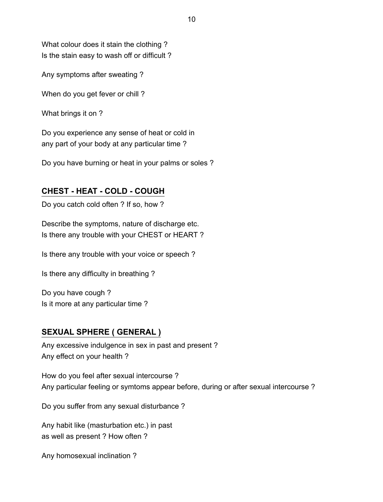What colour does it stain the clothing ? Is the stain easy to wash off or difficult ?

Any symptoms after sweating ?

When do you get fever or chill ?

What brings it on ?

Do you experience any sense of heat or cold in any part of your body at any particular time ?

Do you have burning or heat in your palms or soles ?

#### **CHEST - HEAT - COLD - COUGH**

Do you catch cold often ? If so, how ?

Describe the symptoms, nature of discharge etc. Is there any trouble with your CHEST or HEART ?

Is there any trouble with your voice or speech ?

Is there any difficulty in breathing ?

Do you have cough ? Is it more at any particular time ?

#### **SEXUAL SPHERE ( GENERAL )**

Any excessive indulgence in sex in past and present ? Any effect on your health ?

How do you feel after sexual intercourse ? Any particular feeling or symtoms appear before, during or after sexual intercourse ?

Do you suffer from any sexual disturbance ?

Any habit like (masturbation etc.) in past as well as present ? How often ?

Any homosexual inclination ?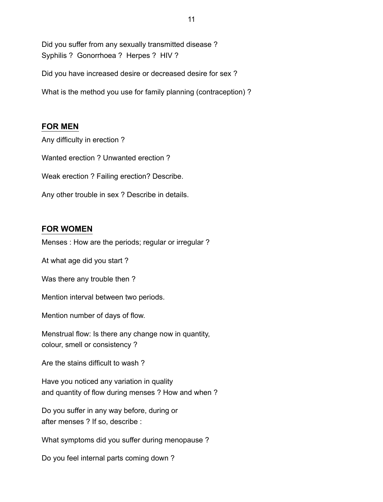Did you suffer from any sexually transmitted disease ? Syphilis ? Gonorrhoea ? Herpes ? HIV ?

Did you have increased desire or decreased desire for sex ?

What is the method you use for family planning (contraception) ?

#### **FOR MEN**

Any difficulty in erection ?

Wanted erection ? Unwanted erection ?

Weak erection ? Failing erection? Describe.

Any other trouble in sex ? Describe in details.

#### **FOR WOMEN**

Menses : How are the periods; regular or irregular ?

At what age did you start ?

Was there any trouble then ?

Mention interval between two periods.

Mention number of days of flow.

Menstrual flow: Is there any change now in quantity, colour, smell or consistency ?

Are the stains difficult to wash ?

Have you noticed any variation in quality and quantity of flow during menses ? How and when ?

Do you suffer in any way before, during or after menses ? If so, describe :

What symptoms did you suffer during menopause ?

Do you feel internal parts coming down ?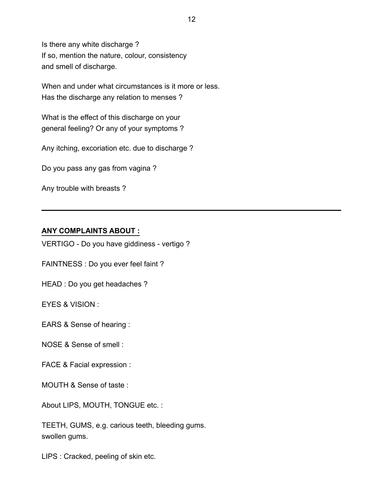Is there any white discharge ? If so, mention the nature, colour, consistency and smell of discharge.

When and under what circumstances is it more or less. Has the discharge any relation to menses ?

What is the effect of this discharge on your general feeling? Or any of your symptoms ?

Any itching, excoriation etc. due to discharge ?

Do you pass any gas from vagina ?

Any trouble with breasts ?

#### **ANY COMPLAINTS ABOUT :**

VERTIGO - Do you have giddiness - vertigo ?

FAINTNESS : Do you ever feel faint ?

HEAD : Do you get headaches ?

EYES & VISION :

EARS & Sense of hearing :

NOSE & Sense of smell :

FACE & Facial expression :

MOUTH & Sense of taste :

About LIPS, MOUTH, TONGUE etc. :

TEETH, GUMS, e.g. carious teeth, bleeding gums. swollen gums.

LIPS : Cracked, peeling of skin etc.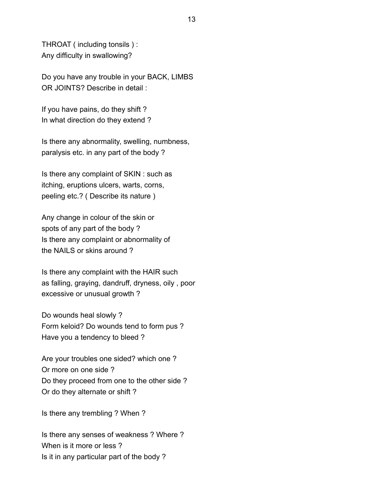THROAT ( including tonsils ) : Any difficulty in swallowing?

Do you have any trouble in your BACK, LIMBS OR JOINTS? Describe in detail :

If you have pains, do they shift ? In what direction do they extend ?

Is there any abnormality, swelling, numbness, paralysis etc. in any part of the body ?

Is there any complaint of SKIN : such as itching, eruptions ulcers, warts, corns, peeling etc.? ( Describe its nature )

Any change in colour of the skin or spots of any part of the body ? Is there any complaint or abnormality of the NAILS or skins around ?

Is there any complaint with the HAIR such as falling, graying, dandruff, dryness, oily , poor excessive or unusual growth ?

Do wounds heal slowly ? Form keloid? Do wounds tend to form pus ? Have you a tendency to bleed ?

Are your troubles one sided? which one ? Or more on one side ? Do they proceed from one to the other side ? Or do they alternate or shift ?

Is there any trembling ? When ?

Is there any senses of weakness ? Where ? When is it more or less ? Is it in any particular part of the body ?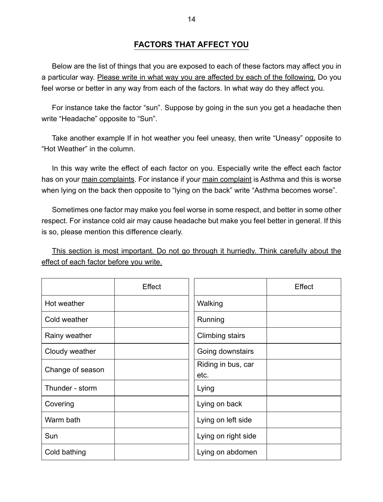#### **FACTORS THAT AFFECT YOU**

Below are the list of things that you are exposed to each of these factors may affect you in a particular way. Please write in what way you are affected by each of the following. Do you feel worse or better in any way from each of the factors. In what way do they affect you.

For instance take the factor "sun". Suppose by going in the sun you get a headache then write "Headache" opposite to "Sun".

Take another example if in hot weather you feel uneasy, then write "Uneasy" opposite to "Hot Weather" in the column.

In this way write the effect of each factor on you. Especially write the effect each factor has on your main complaints. For instance if your main complaint is Asthma and this is worse when lying on the back then opposite to "lying on the back" write "Asthma becomes worse".

Sometimes one factor may make you feel worse in some respect, and better in some other respect. For instance cold air may cause headache but make you feel better in general. If this is so, please mention this difference clearly.

This section is most important. Do not go through it hurriedly. Think carefully about the effect of each factor before you write.

|                  | Effect |                            | Effect |
|------------------|--------|----------------------------|--------|
| Hot weather      |        | Walking                    |        |
| Cold weather     |        | Running                    |        |
| Rainy weather    |        | <b>Climbing stairs</b>     |        |
| Cloudy weather   |        | Going downstairs           |        |
| Change of season |        | Riding in bus, car<br>etc. |        |
| Thunder - storm  |        | Lying                      |        |
| Covering         |        | Lying on back              |        |
| Warm bath        |        | Lying on left side         |        |
| Sun              |        | Lying on right side        |        |
| Cold bathing     |        | Lying on abdomen           |        |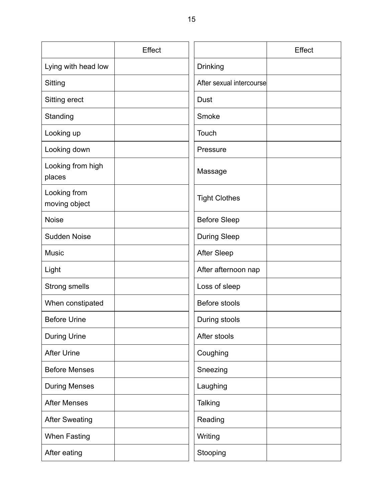|                               | Effect |                          | Effect |
|-------------------------------|--------|--------------------------|--------|
| Lying with head low           |        | Drinking                 |        |
| Sitting                       |        | After sexual intercourse |        |
| Sitting erect                 |        | Dust                     |        |
| Standing                      |        | Smoke                    |        |
| Looking up                    |        | Touch                    |        |
| Looking down                  |        | Pressure                 |        |
| Looking from high<br>places   |        | Massage                  |        |
| Looking from<br>moving object |        | <b>Tight Clothes</b>     |        |
| <b>Noise</b>                  |        | <b>Before Sleep</b>      |        |
| Sudden Noise                  |        | <b>During Sleep</b>      |        |
| <b>Music</b>                  |        | <b>After Sleep</b>       |        |
| Light                         |        | After afternoon nap      |        |
| Strong smells                 |        | Loss of sleep            |        |
| When constipated              |        | Before stools            |        |
| <b>Before Urine</b>           |        | During stools            |        |
| During Urine                  |        | After stools             |        |
| <b>After Urine</b>            |        | Coughing                 |        |
| <b>Before Menses</b>          |        | Sneezing                 |        |
| <b>During Menses</b>          |        | Laughing                 |        |
| <b>After Menses</b>           |        | Talking                  |        |
| <b>After Sweating</b>         |        | Reading                  |        |
| When Fasting                  |        | Writing                  |        |
| After eating                  |        | Stooping                 |        |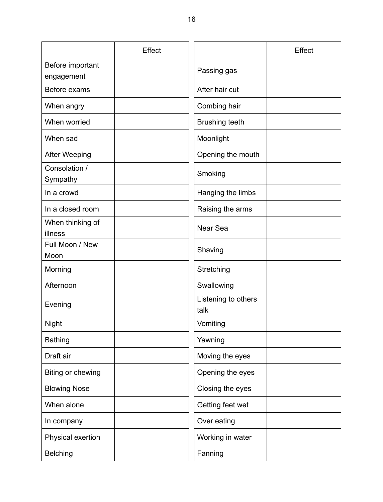|                             | Effect |                             | Effect |
|-----------------------------|--------|-----------------------------|--------|
| Before important            |        | Passing gas                 |        |
| engagement                  |        |                             |        |
| Before exams                |        | After hair cut              |        |
| When angry                  |        | Combing hair                |        |
| When worried                |        | <b>Brushing teeth</b>       |        |
| When sad                    |        | Moonlight                   |        |
| <b>After Weeping</b>        |        | Opening the mouth           |        |
| Consolation /<br>Sympathy   |        | Smoking                     |        |
| In a crowd                  |        | Hanging the limbs           |        |
| In a closed room            |        | Raising the arms            |        |
| When thinking of<br>illness |        | Near Sea                    |        |
| Full Moon / New<br>Moon     |        | Shaving                     |        |
| Morning                     |        | Stretching                  |        |
| Afternoon                   |        | Swallowing                  |        |
| Evening                     |        | Listening to others<br>talk |        |
| Night                       |        | Vomiting                    |        |
| <b>Bathing</b>              |        | Yawning                     |        |
| Draft air                   |        | Moving the eyes             |        |
| Biting or chewing           |        | Opening the eyes            |        |
| <b>Blowing Nose</b>         |        | Closing the eyes            |        |
| When alone                  |        | Getting feet wet            |        |
| In company                  |        | Over eating                 |        |
| Physical exertion           |        | Working in water            |        |
| <b>Belching</b>             |        | Fanning                     |        |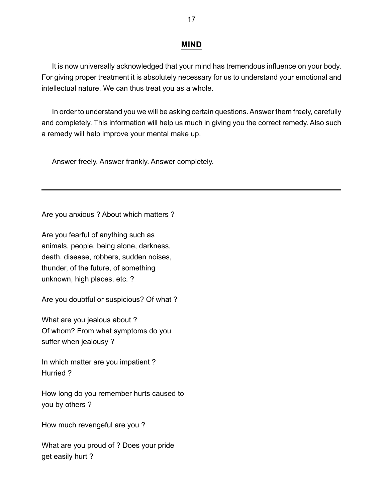#### **MIND**

 It is now universally acknowledged that your mind has tremendous influence on your body. For giving proper treatment it is absolutely necessary for us to understand your emotional and intellectual nature. We can thus treat you as a whole.

In order to understand you we will be asking certain questions. Answer them freely, carefully and completely. This information will help us much in giving you the correct remedy. Also such a remedy will help improve your mental make up.

Answer freely. Answer frankly. Answer completely.

Are you anxious ? About which matters ?

Are you fearful of anything such as animals, people, being alone, darkness, death, disease, robbers, sudden noises, thunder, of the future, of something unknown, high places, etc. ?

Are you doubtful or suspicious? Of what ?

what are you jealous about ? Of whom? From what symptoms do you suffer when jealousy ?

In which matter are you impatient ? Hurried ?

How long do you remember hurts caused to you by others ?

How much revengeful are you ?

What are you proud of ? Does your pride get easily hurt ?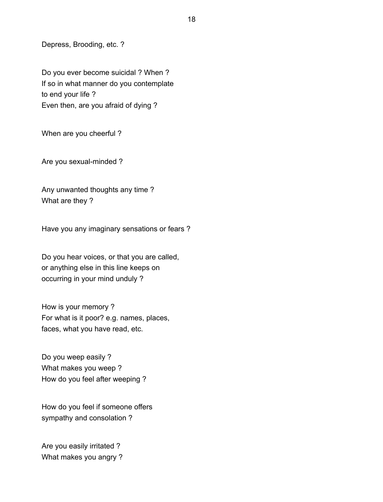Depress, Brooding, etc. ?

Do you ever become suicidal ? When ? If so in what manner do you contemplate to end your life ? Even then, are you afraid of dying ?

When are you cheerful ?

Are you sexual-minded ?

Any unwanted thoughts any time ? What are they ?

Have you any imaginary sensations or fears ?

Do you hear voices, or that you are called, or anything else in this line keeps on occurring in your mind unduly ?

How is your memory ? For what is it poor? e.g. names, places, faces, what you have read, etc.

Do you weep easily ? What makes you weep ? How do you feel after weeping ?

How do you feel if someone offers sympathy and consolation ?

Are you easily irritated ? What makes you angry ?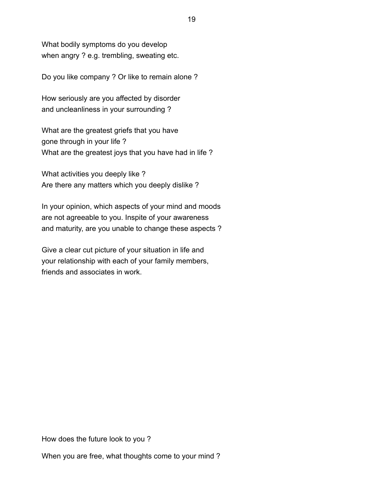What bodily symptoms do you develop when angry ? e.g. trembling, sweating etc.

Do you like company ? Or like to remain alone ?

How seriously are you affected by disorder and uncleanliness in your surrounding ?

What are the greatest griefs that you have gone through in your life ? What are the greatest joys that you have had in life ?

What activities you deeply like ? Are there any matters which you deeply dislike ?

In your opinion, which aspects of your mind and moods are not agreeable to you. Inspite of your awareness and maturity, are you unable to change these aspects ?

Give a clear cut picture of your situation in life and your relationship with each of your family members, friends and associates in work.

How does the future look to you ?

When you are free, what thoughts come to your mind ?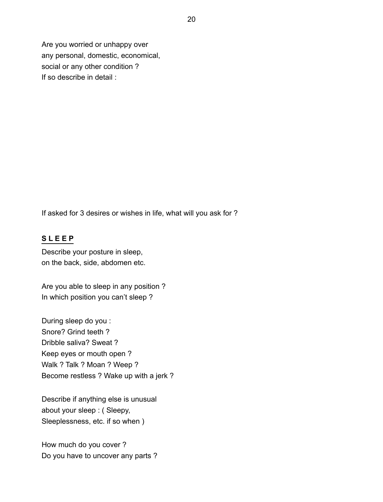Are you worried or unhappy over any personal, domestic, economical, social or any other condition ? If so describe in detail :

If asked for 3 desires or wishes in life, what will you ask for ?

#### **S L E E P**

Describe your posture in sleep, on the back, side, abdomen etc.

Are you able to sleep in any position ? In which position you can't sleep ?

During sleep do you : Snore? Grind teeth ? Dribble saliva? Sweat ? Keep eyes or mouth open ? Walk ? Talk ? Moan ? Weep ? Become restless ? Wake up with a jerk ?

Describe if anything else is unusual about your sleep : ( Sleepy, Sleeplessness, etc. if so when )

How much do you cover ? Do you have to uncover any parts ?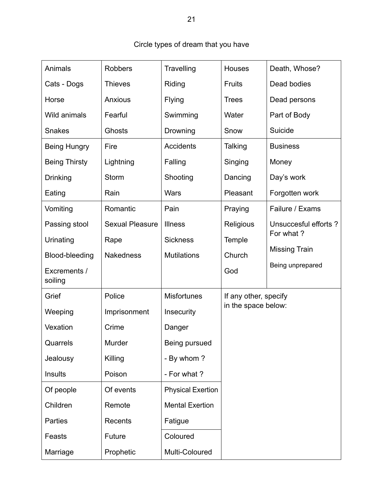| Animals                 | Robbers         | Travelling               | <b>Houses</b>         | Death, Whose?        |
|-------------------------|-----------------|--------------------------|-----------------------|----------------------|
| Cats - Dogs             | <b>Thieves</b>  | Riding                   | Fruits                | Dead bodies          |
| Horse                   | Anxious         | Flying                   | <b>Trees</b>          | Dead persons         |
| Wild animals            | Fearful         | Swimming                 | Water                 | Part of Body         |
| <b>Snakes</b>           | Ghosts          | Drowning                 | Snow                  | Suicide              |
| <b>Being Hungry</b>     | Fire            | Accidents                | Talking               | <b>Business</b>      |
| <b>Being Thirsty</b>    | Lightning       | Falling                  | Singing               | Money                |
| Drinking                | Storm           | Shooting                 | Dancing               | Day's work           |
| Eating                  | Rain            | Wars                     | Pleasant              | Forgotten work       |
| Vomiting                | Romantic        | Pain                     | Praying               | Failure / Exams      |
| Passing stool           | Sexual Pleasure | <b>Illness</b>           | Religious             | Unsuccesful efforts? |
| Urinating               | Rape            | <b>Sickness</b>          | Temple                | For what?            |
| Blood-bleeding          | Nakedness       | <b>Mutilations</b>       | Church                | <b>Missing Train</b> |
| Excrements /<br>soiling |                 |                          | God                   | Being unprepared     |
| Grief                   | Police          | <b>Misfortunes</b>       | If any other, specify |                      |
| Weeping                 | Imprisonment    | Insecurity               | in the space below:   |                      |
| Vexation                | Crime           | Danger                   |                       |                      |
| Quarrels                | Murder          | Being pursued            |                       |                      |
| Jealousy                | Killing         | - By whom?               |                       |                      |
| Insults                 | Poison          | - For what?              |                       |                      |
| Of people               | Of events       | <b>Physical Exertion</b> |                       |                      |
| Children                | Remote          | <b>Mental Exertion</b>   |                       |                      |
| Parties                 | Recents         | Fatigue                  |                       |                      |
| Feasts                  | Future          | Coloured                 |                       |                      |
| Marriage                | Prophetic       | Multi-Coloured           |                       |                      |

### Circle types of dream that you have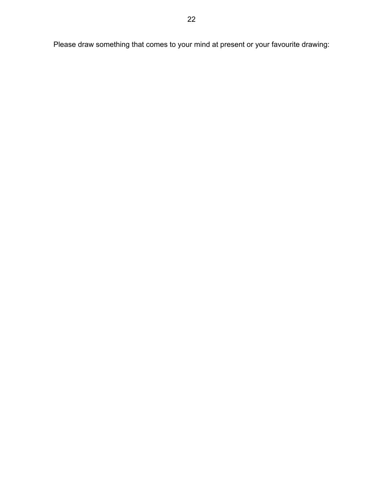Please draw something that comes to your mind at present or your favourite drawing: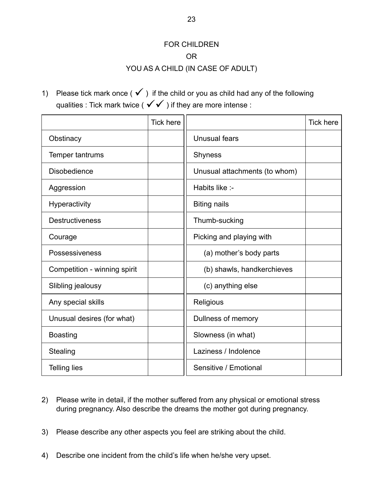## FOR CHILDREN or YOU AS A CHILD (IN CASE OF ADULT)

1) Please tick mark once ( $\checkmark$ ) if the child or you as child had any of the following qualities : Tick mark twice ( $\checkmark$  ) if they are more intense :

|                              | <b>Tick here</b> |                               | <b>Tick here</b> |
|------------------------------|------------------|-------------------------------|------------------|
| Obstinacy                    |                  | Unusual fears                 |                  |
| Temper tantrums              |                  | Shyness                       |                  |
| Disobedience                 |                  | Unusual attachments (to whom) |                  |
| Aggression                   |                  | Habits like :-                |                  |
| Hyperactivity                |                  | <b>Biting nails</b>           |                  |
| <b>Destructiveness</b>       |                  | Thumb-sucking                 |                  |
| Courage                      |                  | Picking and playing with      |                  |
| Possessiveness               |                  | (a) mother's body parts       |                  |
| Competition - winning spirit |                  | (b) shawls, handkerchieves    |                  |
| Slibling jealousy            |                  | (c) anything else             |                  |
| Any special skills           |                  | Religious                     |                  |
| Unusual desires (for what)   |                  | Dullness of memory            |                  |
| <b>Boasting</b>              |                  | Slowness (in what)            |                  |
| Stealing                     |                  | Laziness / Indolence          |                  |
| <b>Telling lies</b>          |                  | Sensitive / Emotional         |                  |

- 2) Please write in detail, if the mother suffered from any physical or emotional stress during pregnancy. Also describe the dreams the mother got during pregnancy.
- 3) Please describe any other aspects you feel are striking about the child.
- 4) Describe one incident from the child's life when he/she very upset.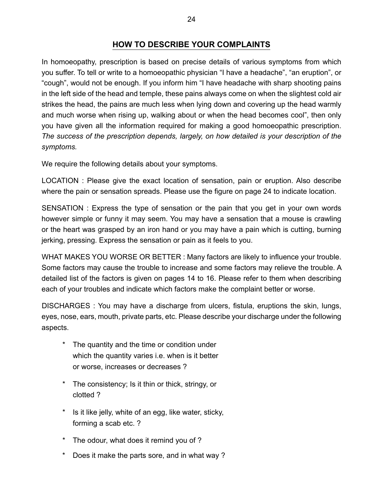#### **HOW TO DESCRIBE YOUR COMPLAINTS**

In homoeopathy, prescription is based on precise details of various symptoms from which you suffer. To tell or write to a homoeopathic physician "I have a headache", "an eruption", or "cough", would not be enough. If you inform him "I have headache with sharp shooting pains in the left side of the head and temple, these pains always come on when the slightest cold air strikes the head, the pains are much less when lying down and covering up the head warmly and much worse when rising up, walking about or when the head becomes cool", then only you have given all the information required for making a good homoeopathic prescription. *The success of the prescription depends, largely, on how detailed is your description of the symptoms.*

We require the following details about your symptoms.

LOCATION : Please give the exact location of sensation, pain or eruption. Also describe where the pain or sensation spreads. Please use the figure on page 24 to indicate location.

SENSATION : Express the type of sensation or the pain that you get in your own words however simple or funny it may seem. You may have a sensation that a mouse is crawling or the heart was grasped by an iron hand or you may have a pain which is cutting, burning jerking, pressing. Express the sensation or pain as it feels to you.

WHAT MAKES YOU WORSE OR BETTER : Many factors are likely to influence your trouble. Some factors may cause the trouble to increase and some factors may relieve the trouble. A detailed list of the factors is given on pages 14 to 16. Please refer to them when describing each of your troubles and indicate which factors make the complaint better or worse.

DISCHARGES : You may have a discharge from ulcers, fistula, eruptions the skin, lungs, eyes, nose, ears, mouth, private parts, etc. Please describe your discharge under the following aspects.

- \* The quantity and the time or condition under which the quantity varies i.e. when is it better or worse, increases or decreases ?
- \* The consistency; Is it thin or thick, stringy, or clotted ?
- \* Is it like jelly, white of an egg, like water, sticky, forming a scab etc. ?
- \* The odour, what does it remind you of ?
- \* Does it make the parts sore, and in what way ?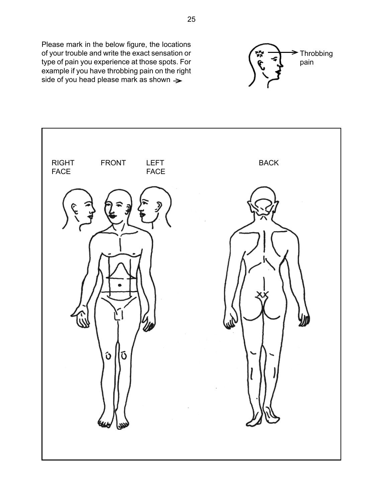Please mark in the below figure, the locations of your trouble and write the exact sensation or type of pain you experience at those spots. For example if you have throbbing pain on the right side of you head please mark as shown  $\rightarrow$ 



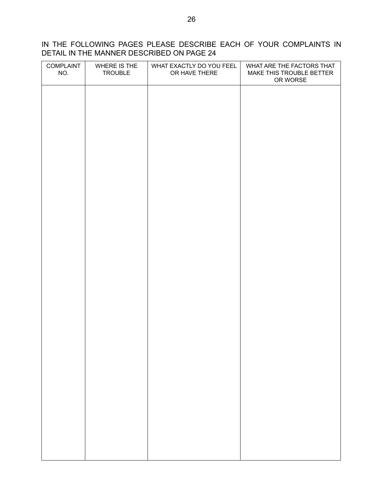#### IN THE FOLLOWING PAGES PLEASE DESCRIBE EACH OF YOUR COMPLAINTS IN DETAIL IN THE MANNER DESCRIBED ON PAGE 24

| COMPLAINT<br>NO. | WHERE IS THE<br>TROUBLE | WHAT EXACTLY DO YOU FEEL<br>OR HAVE THERE | WHAT ARE THE FACTORS THAT<br>MAKE THIS TROUBLE BETTER<br>OR WORSE |
|------------------|-------------------------|-------------------------------------------|-------------------------------------------------------------------|
|                  |                         |                                           |                                                                   |
|                  |                         |                                           |                                                                   |
|                  |                         |                                           |                                                                   |
|                  |                         |                                           |                                                                   |
|                  |                         |                                           |                                                                   |
|                  |                         |                                           |                                                                   |
|                  |                         |                                           |                                                                   |
|                  |                         |                                           |                                                                   |
|                  |                         |                                           |                                                                   |
|                  |                         |                                           |                                                                   |
|                  |                         |                                           |                                                                   |
|                  |                         |                                           |                                                                   |
|                  |                         |                                           |                                                                   |
|                  |                         |                                           |                                                                   |
|                  |                         |                                           |                                                                   |
|                  |                         |                                           |                                                                   |
|                  |                         |                                           |                                                                   |